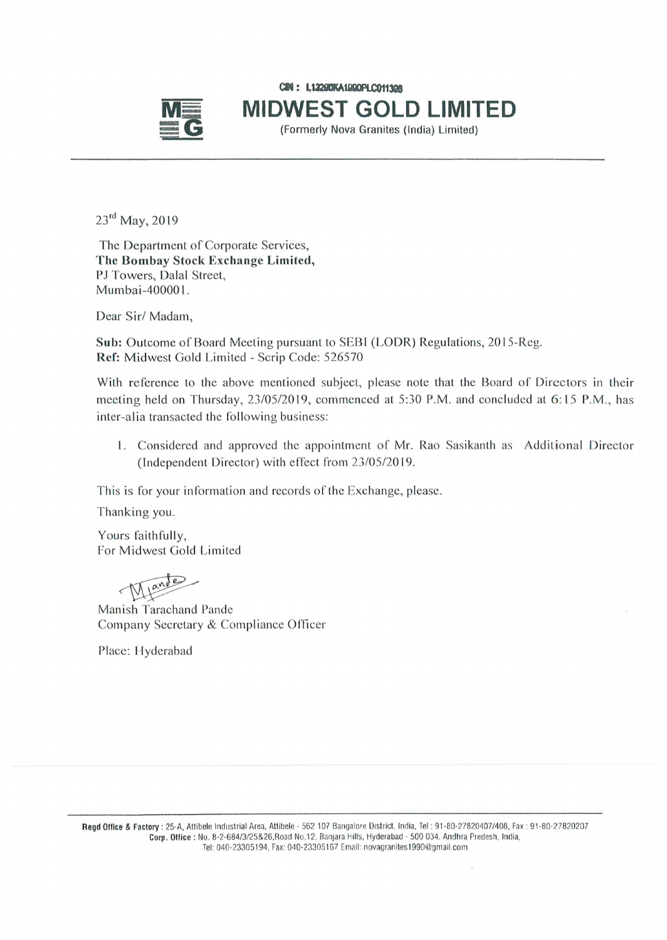

en: **I.U2DAUIDllCOft3Q8 MIDWEST GOLD LIMITED**<br> **Formerly Nova Granites (India) Limited)** 

23<sup>rd</sup> May, 2019

The Department of Corporate Services, The Bombay Stock Exchange Limited, PJ Towers, Dalal Street, Mumbai-40000 1.

Dear Sir/Madam,

Sub: Outcome of Board Meeting pursuant to SEBI (LODR) Regulations, 2015-Reg. Ref: Midwest Gold Limited - Scrip Code: 526570

With reference to the above mentioned subject, please note that the Board of Directors in their meeting held on Thursday, 23/05/2019, commenced at 5:30 P.M. and concluded at 6:15 P.M., has inter-alia transacted the following business:

1. Considered and approved the appointment of Mr. Rao Sasikanth as Additional Director (lndependent Director) with effect from 23/05/2019.

This is for your information and records of the Exchange, please.

Thanking you.

Yours faithfully, For Midwest Gold Limited<br>
Manish Tarachand Pande

Company Secretary & Compliance Officer

Place: Hyderabad